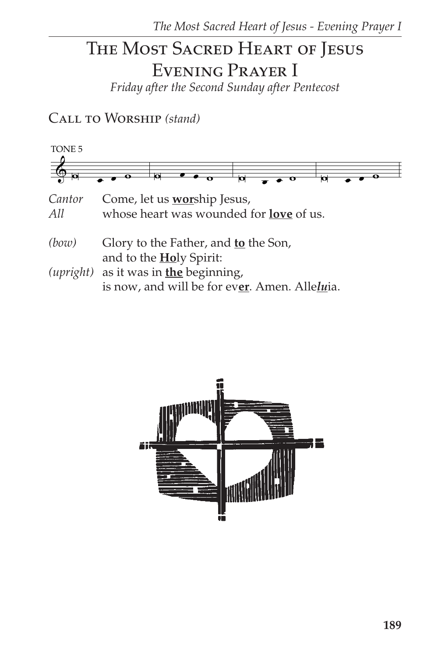# THE MOST SACRED HEART OF JESUS EVENING PRAYER I

Friday after the Second Sunday after Pentecost

CALL TO WORSHIP (stand)



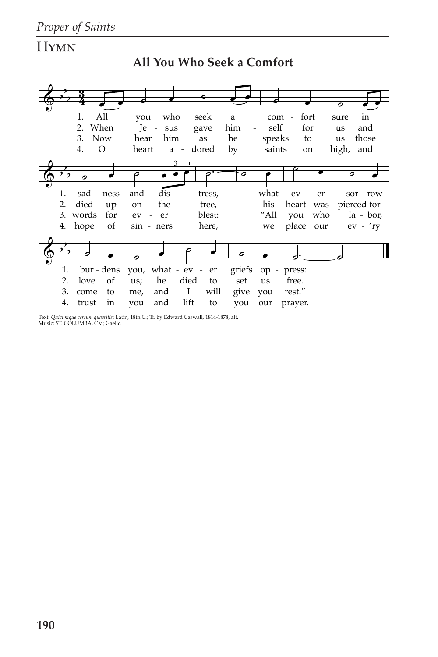# **HYMN**



**All You Who Seek a Comfort**

Text: *Quicumque certum quaeritis*; Latin, 18th C.; Tr. by Edward Caswall, 1814-1878, alt. Music: ST. COLUMBA, CM; Gaelic.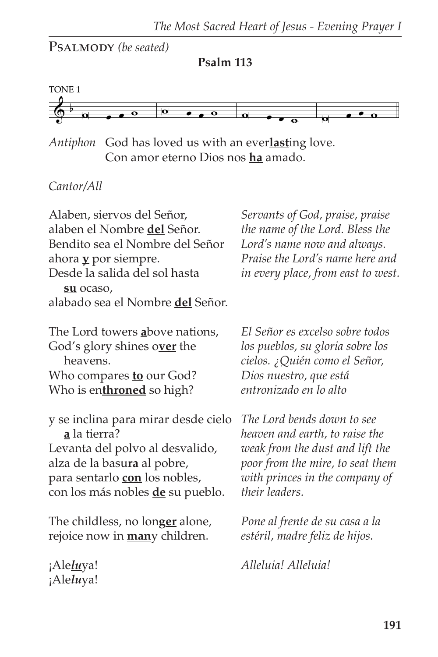Psalmody *(be seated)*





*Antiphon* God has loved us with an ever**last**ing love. Con amor eterno Dios nos **ha** amado.

### *Cantor/All*

¡Ale*lu*ya!

Alaben, siervos del Señor, alaben el Nombre **del** Señor. Bendito sea el Nombre del Señor ahora **y** por siempre. Desde la salida del sol hasta **su** ocaso, alabado sea el Nombre **del** Señor. The Lord towers **a**bove nations, God's glory shines o**ver** the heavens. Who compares **to** our God? Who is en**throned** so high? y se inclina para mirar desde cielo **a** la tierra? Levanta del polvo al desvalido, alza de la basu**ra** al pobre, para sentarlo **con** los nobles, con los más nobles **de** su pueblo. The childless, no lon**ger** alone, rejoice now in **man**y children. ¡Ale*lu*ya! *Servants of God, praise, praise the name of the Lord. Bless the Lord's name now and always. Praise the Lord's name here and in every place, from east to west. El Señor es excelso sobre todos los pueblos, su gloria sobre los cielos. ¿Quién como el Señor, Dios nuestro, que está entronizado en lo alto The Lord bends down to see heaven and earth, to raise the weak from the dust and lift the poor from the mire, to seat them with princes in the company of their leaders. Pone al frente de su casa a la estéril, madre feliz de hijos. Alleluia! Alleluia!*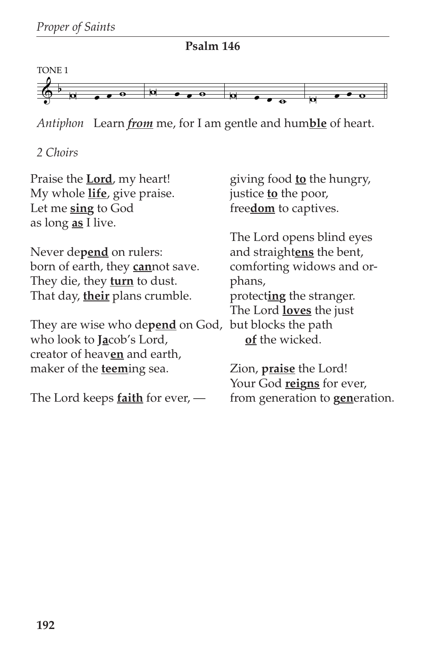

**Psalm 146**

*Antiphon* Learn *from* me, for I am gentle and hum**ble** of heart.

*2 Choirs*

| Praise the <b>Lord</b> , my heart!       | giving food <b>to</b> the hungry,      |
|------------------------------------------|----------------------------------------|
| My whole <i>life</i> , give praise.      | justice <b>to</b> the poor,            |
| Let me sing to God                       | freedom to captives.                   |
| as long <u>as</u> I live.                |                                        |
|                                          | The Lord opens blind eyes              |
| Never depend on rulers:                  | and straightens the bent,              |
| born of earth, they <b>can</b> not save. | comforting widows and or-              |
| They die, they <b>turn</b> to dust.      | phans,                                 |
| That day, their plans crumble.           | protecting the stranger.               |
|                                          | The Lord <b>loves</b> the just         |
| They are wise who depend on God,         | but blocks the path                    |
| who look to <b>Jacob's</b> Lord,         | of the wicked.                         |
| creator of heaven and earth,             |                                        |
| maker of the <b>teem</b> ing sea.        | Zion, <i>praise</i> the Lord!          |
|                                          | Your God reigns for ever,              |
| The Lord keeps $f$ aith for ever, $-$    | from generation to <b>generation</b> . |
|                                          |                                        |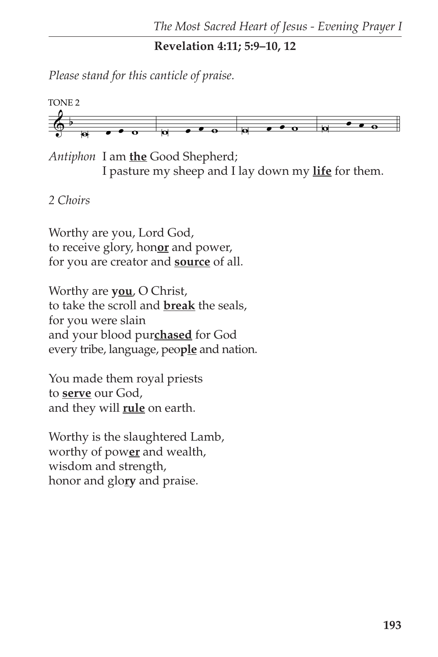**Revelation 4:11; 5:9–10, 12**

*Please stand for this canticle of praise.*



*Antiphon* I am **the** Good Shepherd; I pasture my sheep and I lay down my **life** for them.

### *2 Choirs*

Worthy are you, Lord God, to receive glory, hon**or** and power, for you are creator and **source** of all.

Worthy are **you**, O Christ, to take the scroll and **break** the seals, for you were slain and your blood pur**chased** for God every tribe, language, peo**ple** and nation.

You made them royal priests to **serve** our God, and they will **rule** on earth.

Worthy is the slaughtered Lamb, worthy of pow**er** and wealth, wisdom and strength, honor and glo**ry** and praise.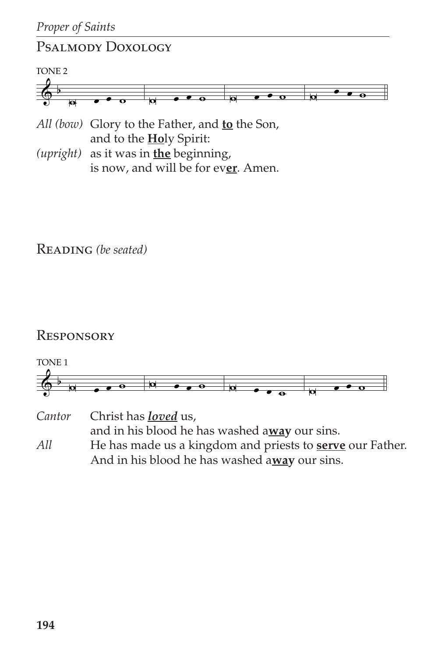# Psalmody Doxology



*All (bow)* Glory to the Father, and **to** the Son, and to the **Ho**ly Spirit:

*(upright)* as it was in **the** beginning, is now, and will be for ev**er**. Amen.

Reading *(be seated)*

## **RESPONSORY**



```
Cantor Christ has loved us,
         and in his blood he has washed away our sins.
All He has made us a kingdom and priests to serve our Father.
         And in his blood he has washed away our sins.
```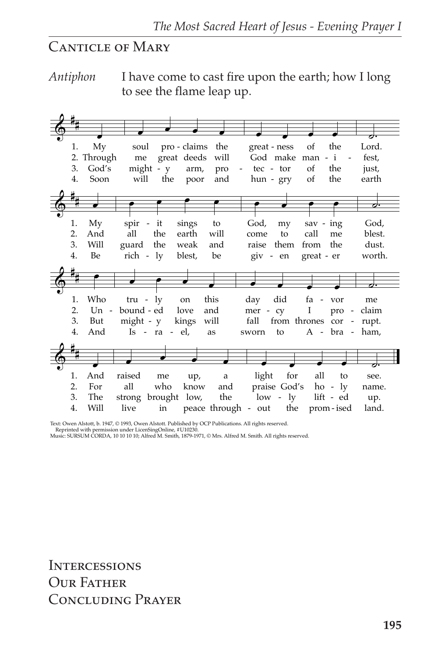# CANTICLE OF MARY

*Antiphon* I have come to cast fire upon the earth; how I long to see the flame leap up.

| 1. | My         | the<br>pro - claims<br>the<br>of<br>soul<br>great - ness<br>Lord.                        |        |
|----|------------|------------------------------------------------------------------------------------------|--------|
|    | 2. Through | great deeds<br>God make man - i<br>will<br>me<br>fest,<br>$\sim$                         |        |
| 3. | God's      | might - y<br><sub>of</sub><br>the<br>tec - tor<br>arm,<br>pro<br>just,<br>$\blacksquare$ |        |
| 4. | Soon       | will<br>the<br>and<br><sub>of</sub><br>the<br>hun - gry<br>earth<br>poor                 |        |
|    |            |                                                                                          |        |
|    |            |                                                                                          |        |
|    |            |                                                                                          | ರ:     |
|    |            |                                                                                          |        |
| 1. | My         | spir - it<br>sings<br>to<br>God,<br>sav - ing<br>my                                      | God,   |
| 2. | And        | the<br>earth<br>will<br>call<br>all<br>to<br>me<br>come                                  | blest. |
| 3. | Will       | guard the<br>the<br>and<br>them<br>from<br>weak<br>raise                                 | dust.  |
| 4. | Be         | rich - ly<br>blest,<br>be<br>great - er<br>giv - en                                      | worth. |
|    |            |                                                                                          |        |
|    |            |                                                                                          |        |
|    |            |                                                                                          |        |
| 1. | Who        | this<br>did<br>tru - $\lg$<br>day<br>fa - vor<br>on<br>me                                |        |
| 2. | $Un -$     | bound - ed<br>$\bf{I}$<br>love<br>and<br>mer - cy<br>pro - claim                         |        |
| 3. | But        | might - y<br>will<br>fall<br>kings<br>from thrones cor - rupt.                           |        |
| 4. | And        | $Is - ra - el$ ,<br>$A - bra - ham$ ,<br>as<br>to<br>sworn                               |        |
|    |            |                                                                                          |        |
|    |            |                                                                                          |        |
|    |            |                                                                                          |        |
|    |            |                                                                                          |        |
| 1. | And        | raised<br>light<br>for<br>all<br>to<br>me<br>up,<br>a                                    | see.   |
| 2. | For        | praise God's<br>all<br>who<br>know<br>and<br>$ho - ly$                                   | name.  |
| 3. | The        | the<br>$low - ly$<br>lift - ed<br>strong brought low,                                    | up.    |
| 4. | Will       | the<br>peace through - out<br>live<br>in<br>prom - ised                                  | land.  |

Text: Owen Alstott, b. 1947, © 1993, Owen Alstott. Published by OCP Publications. All rights reserved. Reprinted with permission under LicenSingOnline, #U10230.

Music: SURSUM CORDA, 10 10 10 10; Alfred M. Smith, 1879-1971, © Mrs. Alfred M. Smith. All rights reserved.

**INTERCESSIONS** OUR FATHER Concluding Prayer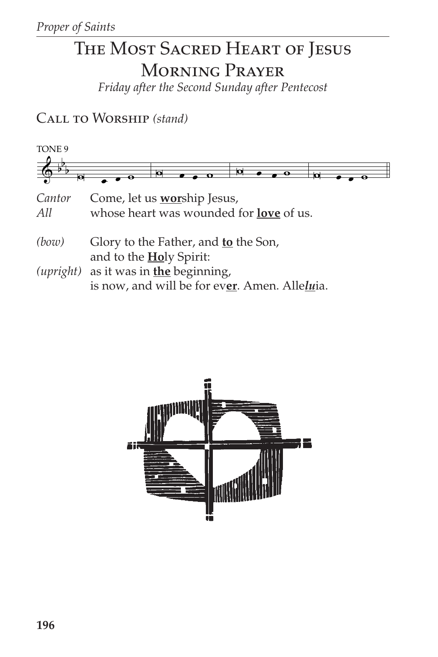# THE MOST SACRED HEART OF JESUS **MORNING PRAYER**

Friday after the Second Sunday after Pentecost

CALL TO WORSHIP (stand)



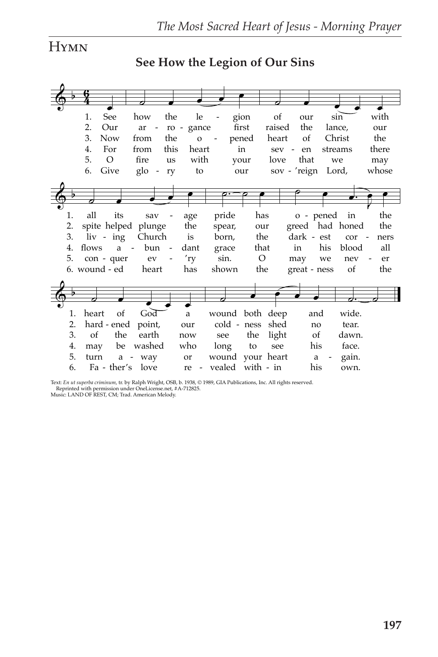# **HYMN**

See How the Legion of Our Sins

|    | 1.         | See                         | how                 |        | the                      | le           |                          |        | gion                  | <sub>of</sub> |         | our        |                    | sin             |        | with  |
|----|------------|-----------------------------|---------------------|--------|--------------------------|--------------|--------------------------|--------|-----------------------|---------------|---------|------------|--------------------|-----------------|--------|-------|
|    | 2.         | Our                         | ar                  | $\sim$ | ro - gance               |              |                          |        | first                 | raised        |         | the        |                    | lance,          |        | our   |
|    | 3.         | <b>Now</b>                  | from                |        | the                      | $\mathbf{o}$ | $\overline{\phantom{a}}$ |        | pened                 | heart         |         | of         |                    | Christ          |        | the   |
|    | 4.         | For                         | from                |        | this                     | heart        |                          |        | in                    |               | $sev -$ | en         |                    | streams         |        | there |
|    | 5.         | $\circ$                     | fire                |        | us                       | with         |                          |        | your                  | love          |         | that       |                    | we              |        | may   |
|    | 6.         | Give                        | $g$ lo -            |        | ry                       | to           |                          |        | our                   |               |         |            | sov - 'reign Lord, |                 |        | whose |
|    |            |                             |                     |        |                          |              |                          |        |                       |               |         |            |                    |                 |        |       |
| b. |            |                             |                     |        |                          |              |                          |        |                       |               |         |            |                    |                 |        |       |
|    |            |                             |                     |        |                          |              |                          |        |                       |               |         |            |                    |                 |        |       |
| 1. | all        | its                         | sav                 |        | age                      |              |                          | pride  | has                   |               |         |            | o - pened          | in              |        | the   |
| 2. |            |                             | spite helped plunge |        | the                      |              |                          | spear, | our                   |               |         |            |                    | greed had honed |        | the   |
| 3. |            | liv - ing                   | Church              |        | is                       |              |                          | born,  | the                   |               |         | dark - est |                    | cor             | $\sim$ | ners  |
| 4. | flows      | a                           | bun                 | $\sim$ | dant                     |              |                          | grace  | that                  |               |         | in         | his                | blood           |        | all   |
| 5. |            |                             | ev                  |        | $^{\prime}$ ry           |              |                          | sin.   | $\circ$               |               |         |            | we                 | nev             |        | er    |
|    |            | con - quer<br>6. wound - ed |                     |        | $\overline{\phantom{0}}$ |              |                          |        |                       |               |         | may        |                    |                 |        |       |
|    |            |                             | heart               |        | has                      |              |                          | shown  | the                   |               |         |            | great - ness       | <sub>of</sub>   |        | the   |
|    |            |                             |                     |        |                          |              |                          |        |                       |               |         |            |                    |                 |        |       |
| Þ  |            |                             |                     |        |                          |              |                          |        |                       |               |         |            |                    |                 |        |       |
|    |            |                             |                     |        |                          |              |                          |        |                       |               |         |            |                    |                 |        |       |
| 1. | heart      | of                          | God                 |        | $\rm{a}$                 |              |                          |        | wound both deep       |               |         |            | and                | wide.           |        |       |
| 2. |            | hard - ened                 | point,              |        | our                      |              |                          |        | cold - ness           | shed          |         |            | no                 | tear.           |        |       |
| 3. | $\alpha$ f | the                         | earth               |        | now                      |              | see                      |        | the                   | light         |         |            | of                 | dawn.           |        |       |
| 4. | may        | be                          | washed              |        | who                      |              | long                     |        | to                    | see           |         |            | his                | face.           |        |       |
| 5. | turn       |                             | a - way             |        | or                       |              |                          |        | wound your heart      |               |         |            | a                  | gain.           |        |       |
| 6. |            | Fa - ther's                 | love                |        |                          |              |                          |        | re - vealed with - in |               |         |            | his                | own.            |        |       |

Text: En ut superba criminum, tr. by Ralph Wright, OSB, b. 1938, © 1989, GIA Publications, Inc. All rights reserved. Reprinted with permission under OneLicense.net, #A-712825.<br>Music: LAND OF REST, CM; Trad. American Melody.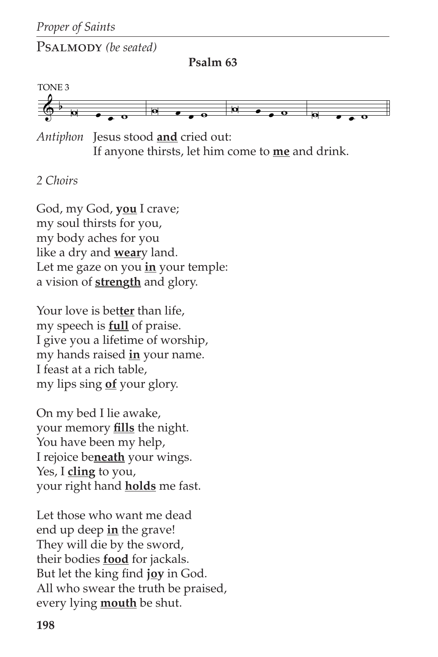Psalmody *(be seated)*

**Psalm 63**



*Antiphon* Jesus stood **and** cried out: If anyone thirsts, let him come to **me** and drink.

#### *2 Choirs*

God, my God, **you** I crave; my soul thirsts for you, my body aches for you like a dry and **wear**y land. Let me gaze on you **in** your temple: a vision of **strength** and glory.

Your love is bet**ter** than life, my speech is **full** of praise. I give you a lifetime of worship, my hands raised **in** your name. I feast at a rich table, my lips sing **of** your glory.

On my bed I lie awake, your memory **fills** the night. You have been my help, I rejoice be**neath** your wings. Yes, I **cling** to you, your right hand **holds** me fast.

Let those who want me dead end up deep **in** the grave! They will die by the sword, their bodies **food** for jackals. But let the king find **joy** in God. All who swear the truth be praised, every lying **mouth** be shut.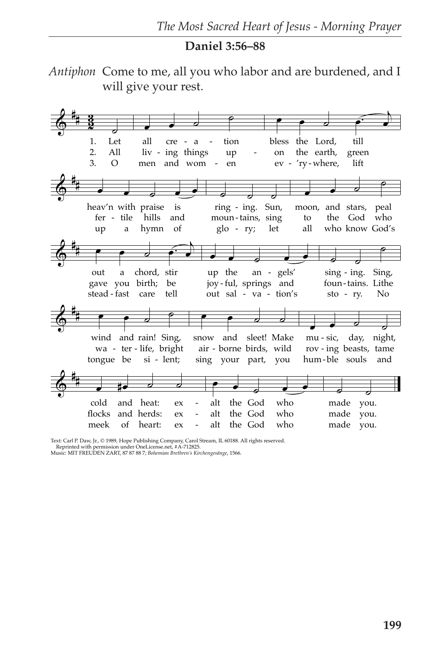#### Daniel 3:56-88

Antiphon Come to me, all you who labor and are burdened, and I will give your rest.



Text: Carl P. Daw, Jr., © 1989, Hope Publishing Company, Carol Stream, IL 60188. All rights reserved.<br>Reprinted with permission under OneLicense.net, #A-712825.<br>Music: MIT FREUDEN ZART, 87 87 88 7; Bohemian Brethren's Kirc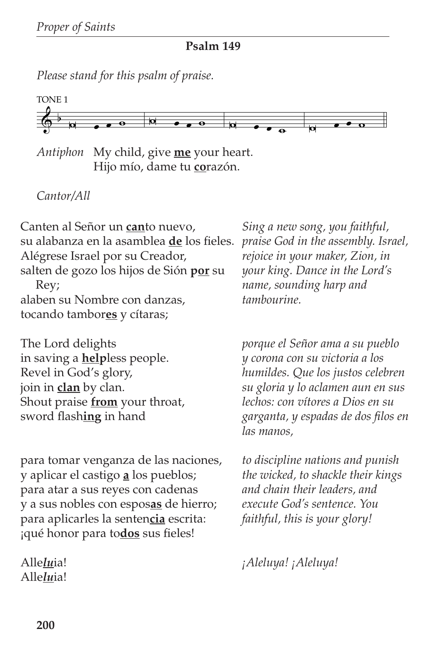**Psalm 149**

*Please stand for this psalm of praise.*



*Antiphon* My child, give **me** your heart. Hijo mío, dame tu **co**razón.

### *Cantor/All*

Canten al Señor un **can**to nuevo, su alabanza en la asamblea **de** los fieles. Alégrese Israel por su Creador, salten de gozo los hijos de Sión **por** su Rey; alaben su Nombre con danzas, tocando tambor**es** y cítaras;

The Lord delights in saving a **help**less people. Revel in God's glory, join in **clan** by clan. Shout praise **from** your throat, sword flash**ing** in hand

para tomar venganza de las naciones, y aplicar el castigo **a** los pueblos; para atar a sus reyes con cadenas y a sus nobles con espos**as** de hierro; para aplicarles la senten**cia** escrita: ¡qué honor para to**dos** sus fieles!

Alle*lu*ia! Alle*lu*ia!

*Sing a new song, you faithful, praise God in the assembly. Israel, rejoice in your maker, Zion, in your king. Dance in the Lord's name, sounding harp and tambourine.*

*porque el Señor ama a su pueblo y corona con su victoria a los humildes. Que los justos celebren su gloria y lo aclamen aun en sus lechos: con vítores a Dios en su garganta, y espadas de dos filos en las manos,*

*to discipline nations and punish the wicked, to shackle their kings and chain their leaders, and execute God's sentence. You faithful, this is your glory!*

*¡Aleluya! ¡Aleluya!*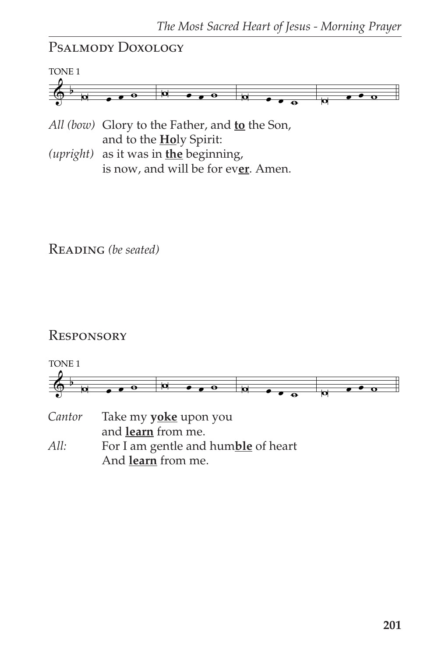# Psalmody Doxology



*All (bow)* Glory to the Father, and **to** the Son, and to the **Ho**ly Spirit:

*(upright)* as it was in **the** beginning, is now, and will be for ev**er**. Amen.

Reading *(be seated)*

### **RESPONSORY**

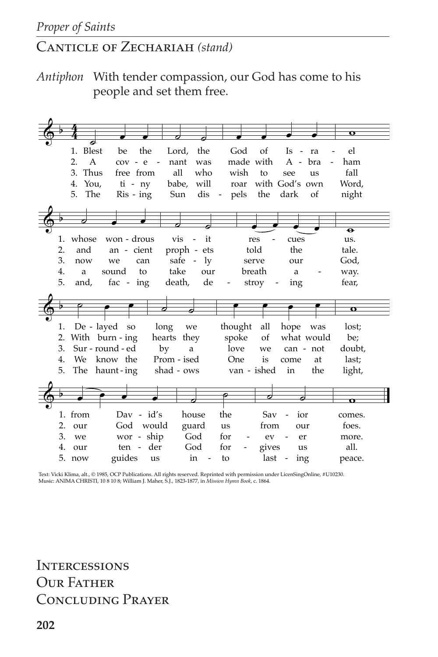# Canticle of Zechariah *(stand)*

*Antiphon* With tender compassion, our God has come to his people and set them free.

|    |                         |                              |                     |             |                    |               |                                       |                   | $\mathbf \sigma$ |  |
|----|-------------------------|------------------------------|---------------------|-------------|--------------------|---------------|---------------------------------------|-------------------|------------------|--|
|    |                         |                              |                     |             |                    |               |                                       |                   |                  |  |
|    | 1. Blest                | the<br>be                    | Lord,               | the         | God                | of            | Is<br>$\overline{\phantom{a}}$        | ra                | el               |  |
|    | $\mathfrak{D}_{1}$<br>A | $cov - e$                    | nant<br>$\sim$ $-$  | was         |                    | made with     | A - bra                               |                   | ham              |  |
|    | 3. Thus                 | free from                    | all                 | who         | wish               | to            | see                                   | us                | fall             |  |
|    | 4.<br>You,              | $ti - ny$                    | babe,               | will        | roar               |               | with God's own                        |                   | Word,            |  |
|    |                         |                              |                     |             |                    |               |                                       |                   |                  |  |
|    | 5.<br>The               | $Ris - ing$                  | Sun                 | dis         | pels<br>$\sim$ $-$ | the           | dark                                  | of                | night            |  |
|    |                         |                              |                     |             |                    |               |                                       |                   |                  |  |
|    |                         |                              |                     |             |                    |               |                                       |                   |                  |  |
|    |                         |                              |                     |             |                    |               |                                       |                   | $\bullet$        |  |
| 1. | whose                   | won - drous                  | vis                 | it          |                    | res           | cues                                  |                   | us.              |  |
| 2. | and                     | an - cient                   |                     | proph - ets |                    | told          | the                                   |                   | tale.            |  |
| 3. | now                     | can<br>we                    |                     | safe - ly   |                    | serve         | our                                   |                   | God,             |  |
| 4. | a                       | sound<br>to                  | take                | our         |                    | breath        | a                                     |                   | way.             |  |
| 5. | and,                    | fac - $ing$                  | death,              | de          |                    | stroy         | ing<br>$\overline{\phantom{a}}$       |                   | fear,            |  |
|    |                         |                              |                     |             |                    |               |                                       |                   |                  |  |
|    |                         |                              |                     |             |                    |               |                                       |                   |                  |  |
|    |                         |                              |                     |             |                    |               |                                       |                   |                  |  |
|    |                         |                              |                     |             |                    |               |                                       |                   | $\mathbf o$      |  |
| 1. |                         |                              |                     |             |                    |               |                                       |                   |                  |  |
| 2. | De - layed              | <b>SO</b>                    | long<br>hearts they | we          | thought<br>spoke   | all<br>of     | hope                                  | was<br>what would | lost;<br>be;     |  |
| 3. | With burn - ing         | Sur - round - ed             | by                  | a           | love               | we            | can - not                             |                   | doubt,           |  |
| 4. | We                      | know the                     | Prom - ised         |             | One                | is            | come                                  | at                | last;            |  |
| 5. |                         | The haunt-ing                | shad - ows          |             |                    | van - ished   | in                                    | the               | light,           |  |
|    |                         |                              |                     |             |                    |               |                                       |                   |                  |  |
|    |                         |                              |                     |             |                    |               |                                       |                   |                  |  |
|    |                         |                              |                     |             |                    |               | 0                                     |                   |                  |  |
|    |                         |                              |                     |             |                    |               |                                       |                   |                  |  |
|    | 1. from                 | $\text{Dav}$ - $\text{id's}$ |                     | house       | the                | Sav           | ior                                   |                   | comes.           |  |
| 2. | our                     | God would                    |                     | guard       | us                 | from          | our                                   |                   | foes.            |  |
| 3. | we                      | wor - ship                   |                     | God         | for                | ev            | er                                    |                   | more.            |  |
| 4. | our<br>5. now           | ten -<br>guides              | der<br>us           | God<br>in   | for<br>to          | gives<br>last | us<br>ing<br>$\overline{\phantom{a}}$ |                   | all.<br>peace.   |  |

Text: Vicki Klima, alt., © 1985, OCP Publications. All rights reserved. Reprinted with permission under LicenSingOnline, #U10230.<br>Music: ANIMA CHRISTI, 10 8 10 8; William J. Maher, S.J., 1823-1877, in *Mission Hymn Book,*

**INTERCESSIONS** OUR FATHER Concluding Prayer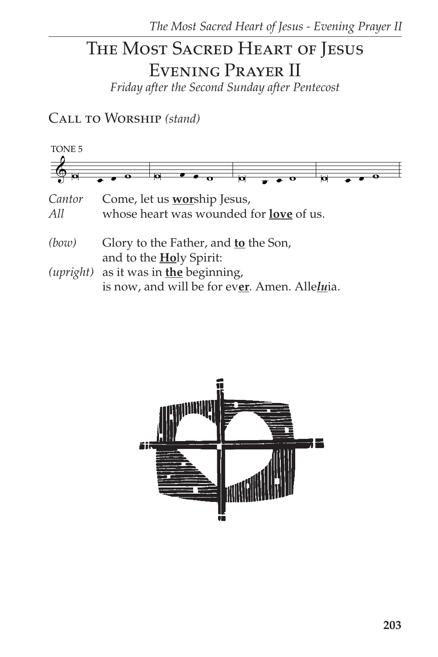# THE MOST SACRED HEART OF JESUS EVENING PRAYER II

Friday after the Second Sunday after Pentecost

CALL TO WORSHIP (stand)



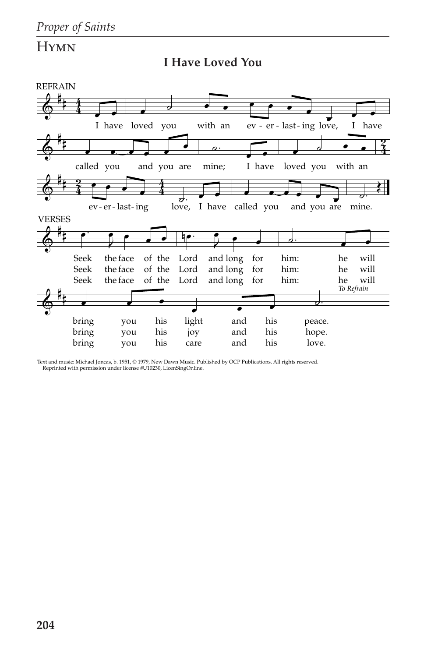





Text and music: Michael Joncas, b. 1951, © 1979, New Dawn Music. Published by OCP Publications. All rights reserved. Reprinted with permission under license #U10230, LicenSingOnline.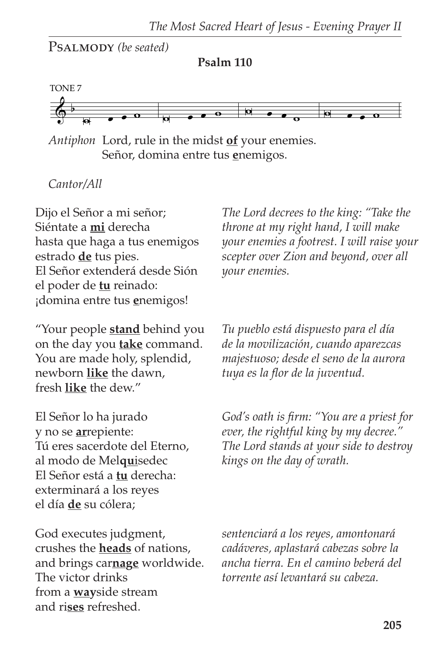PSALMODY *(be seated)* 

**Psalm 110**



*Antiphon* Lord, rule in the midst **of** your enemies. Señor, domina entre tus **e**nemigos.

*Cantor/All*

Dijo el Señor a mi señor; Siéntate a **mi** derecha hasta que haga a tus enemigos estrado **de** tus pies. El Señor extenderá desde Sión el poder de **tu** reinado: ¡domina entre tus **e**nemigos!

"Your people **stand** behind you on the day you **take** command. You are made holy, splendid, newborn **like** the dawn, fresh **like** the dew."

El Señor lo ha jurado y no se **ar**repiente: Tú eres sacerdote del Eterno, al modo de Mel**qu**isedec El Señor está a **tu** derecha: exterminará a los reyes el día **de** su cólera;

God executes judgment, crushes the **heads** of nations, and brings car**nage** worldwide. The victor drinks from a **way**side stream and ri**ses** refreshed.

*The Lord decrees to the king: "Take the throne at my right hand, I will make your enemies a footrest. I will raise your scepter over Zion and beyond, over all your enemies.*

*Tu pueblo está dispuesto para el día de la movilización, cuando aparezcas majestuoso; desde el seno de la aurora tuya es la flor de la juventud.*

*God's oath is firm: "You are a priest for ever, the rightful king by my decree." The Lord stands at your side to destroy kings on the day of wrath.*

*sentenciará a los reyes, amontonará cadáveres, aplastará cabezas sobre la ancha tierra. En el camino beberá del torrente así levantará su cabeza.*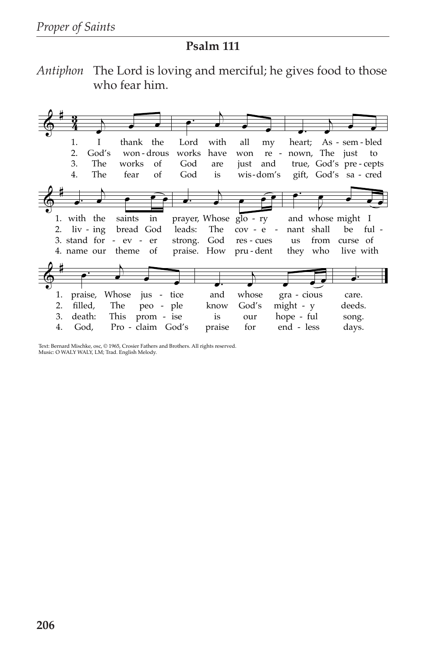#### **Psalm 111**

*Antiphon* The Lord is loving and merciful; he gives food to those who fear him.



Text: Bernard Mischke, osc, © 1965, Crosier Fathers and Brothers. All rights reserved. Music: O WALY WALY, LM; Trad. English Melody.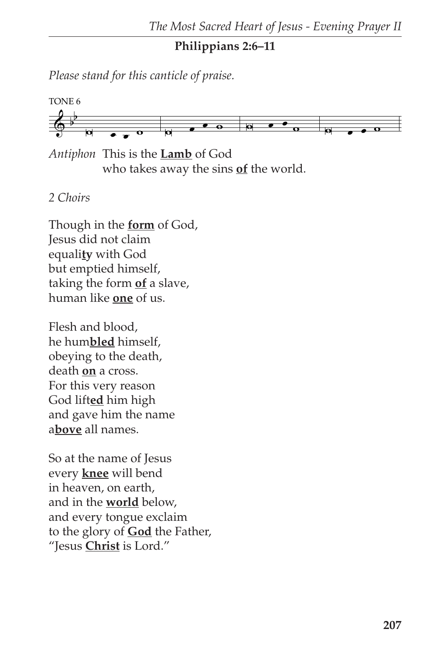### **Philippians 2:6–11**

*Please stand for this canticle of praise.*



*Antiphon* This is the **Lamb** of God who takes away the sins **of** the world.

## *2 Choirs*

Though in the **form** of God, Jesus did not claim equali**ty** with God but emptied himself, taking the form **of** a slave, human like **one** of us.

Flesh and blood, he hum**bled** himself, obeying to the death, death **on** a cross. For this very reason God lift**ed** him high and gave him the name a**bove** all names.

So at the name of Jesus every **knee** will bend in heaven, on earth, and in the **world** below, and every tongue exclaim to the glory of **God** the Father, "Jesus **Christ** is Lord."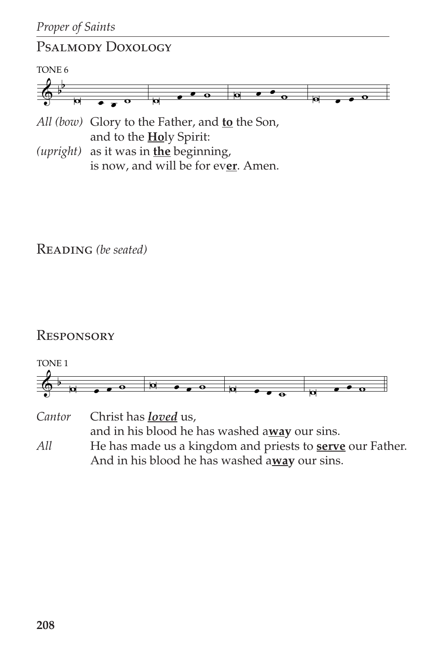# Psalmody Doxology



*All (bow)* Glory to the Father, and **to** the Son, and to the **Ho**ly Spirit:

*(upright)* as it was in **the** beginning, is now, and will be for ev**er**. Amen.

Reading *(be seated)*

# **RESPONSORY**



and in his blood he has washed a**way** our sins. *All* He has made us a kingdom and priests to **serve** our Father. And in his blood he has washed a**way** our sins.